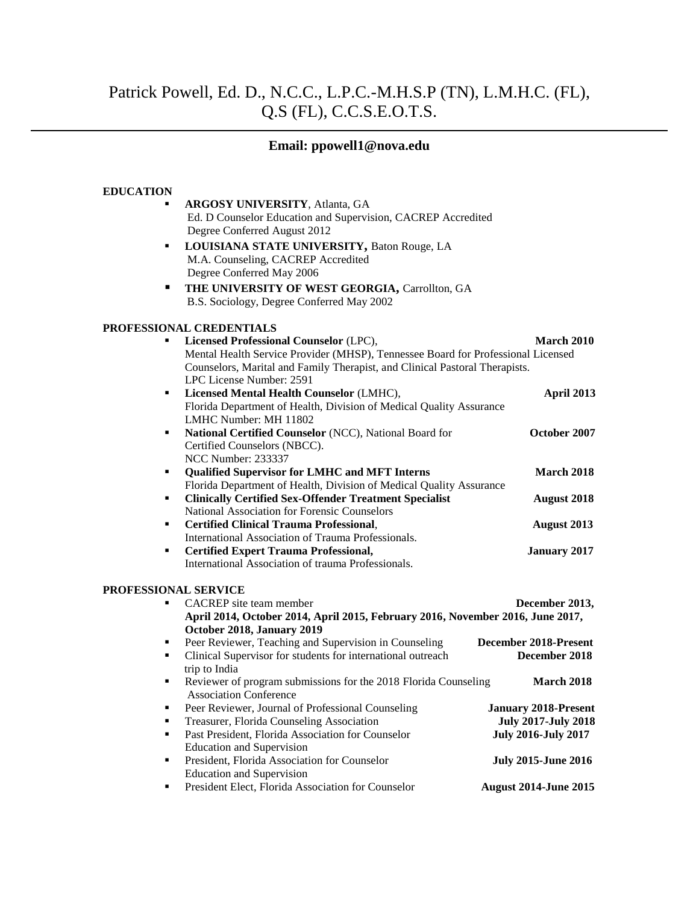# Patrick Powell, Ed. D., N.C.C., L.P.C.-M.H.S.P (TN), L.M.H.C. (FL), Q.S (FL), C.C.S.E.O.T.S.

# **Email: ppowell1@nova.edu**

### **EDUCATION**

| $\blacksquare$ | <b>ARGOSY UNIVERSITY, Atlanta, GA</b>                        |          |
|----------------|--------------------------------------------------------------|----------|
|                | Ed. D Counselor Education and Supervision, CACREP Accredited |          |
|                | Degree Conferred August 2012                                 |          |
| $\blacksquare$ | LOUISIANA STATE UNIVERSITY, Baton Rouge, LA                  |          |
|                | M.A. Counseling, CACREP Accredited                           |          |
|                | Degree Conferred May 2006                                    |          |
| л.             | THE UNIVERSITY OF WEST GEORGIA, Carrollton, GA               |          |
|                | B.S. Sociology, Degree Conferred May 2002                    |          |
|                |                                                              |          |
|                | ONAL CREDENTIALS                                             |          |
|                | $\blacksquare$ Leongod Drofoggional Coungelor (LDC)          | $M$ onah |

# **PROFESSIO**

| ٠                           | Licensed Professional Counselor (LPC),<br>Mental Health Service Provider (MHSP), Tennessee Board for Professional Licensed | <b>March 2010</b>           |
|-----------------------------|----------------------------------------------------------------------------------------------------------------------------|-----------------------------|
|                             | Counselors, Marital and Family Therapist, and Clinical Pastoral Therapists.<br>LPC License Number: 2591                    |                             |
| ٠                           | Licensed Mental Health Counselor (LMHC),                                                                                   | April 2013                  |
|                             | Florida Department of Health, Division of Medical Quality Assurance                                                        |                             |
|                             | LMHC Number: MH 11802                                                                                                      |                             |
| ٠                           | National Certified Counselor (NCC), National Board for                                                                     | October 2007                |
|                             | Certified Counselors (NBCC).                                                                                               |                             |
|                             | <b>NCC Number: 233337</b>                                                                                                  |                             |
| ٠                           |                                                                                                                            | <b>March 2018</b>           |
|                             | <b>Qualified Supervisor for LMHC and MFT Interns</b>                                                                       |                             |
|                             | Florida Department of Health, Division of Medical Quality Assurance                                                        |                             |
| ٠                           | <b>Clinically Certified Sex-Offender Treatment Specialist</b>                                                              | <b>August</b> 2018          |
|                             | National Association for Forensic Counselors                                                                               |                             |
| ٠                           | <b>Certified Clinical Trauma Professional,</b>                                                                             | August 2013                 |
|                             | International Association of Trauma Professionals.                                                                         |                             |
| ٠                           | <b>Certified Expert Trauma Professional,</b>                                                                               | <b>January 2017</b>         |
|                             | International Association of trauma Professionals.                                                                         |                             |
| <b>PROFESSIONAL SERVICE</b> |                                                                                                                            |                             |
|                             | <b>CACREP</b> site team member                                                                                             | December 2013,              |
|                             | April 2014, October 2014, April 2015, February 2016, November 2016, June 2017,                                             |                             |
|                             | October 2018, January 2019                                                                                                 |                             |
| ٠                           | Peer Reviewer, Teaching and Supervision in Counseling                                                                      | December 2018-Present       |
| ٠                           | Clinical Supervisor for students for international outreach                                                                | December 2018               |
|                             | trip to India                                                                                                              |                             |
| ٠                           | Reviewer of program submissions for the 2018 Florida Counseling                                                            | <b>March 2018</b>           |
|                             | <b>Association Conference</b>                                                                                              |                             |
| ٠                           | Peer Reviewer, Journal of Professional Counseling                                                                          | <b>January 2018-Present</b> |
| ٠                           | Treasurer, Florida Counseling Association                                                                                  | <b>July 2017-July 2018</b>  |
| ٠                           | Past President, Florida Association for Counselor                                                                          | <b>July 2016-July 2017</b>  |
|                             | <b>Education and Supervision</b>                                                                                           |                             |

**President, Florida Association for Counselor Figure 2015-July 2015-June 2016** Education and Supervision **President Elect, Florida Association for Counselor August 2014-June 2015**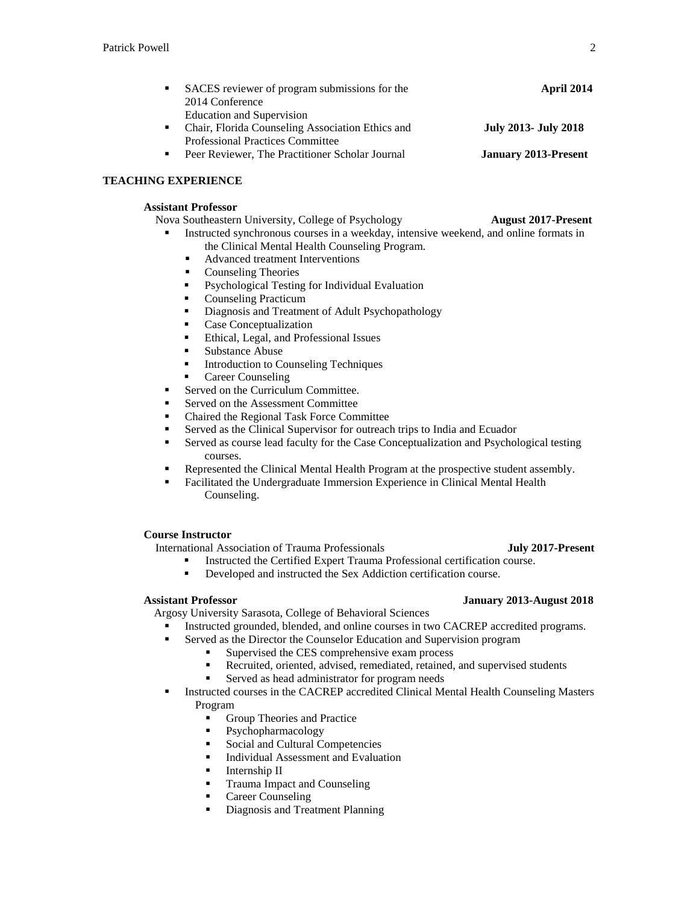|     | SACES reviewer of program submissions for the    | April 2014                  |
|-----|--------------------------------------------------|-----------------------------|
|     | 2014 Conference                                  |                             |
|     | <b>Education and Supervision</b>                 |                             |
| . . | Chair, Florida Counseling Association Ethics and | <b>July 2013- July 2018</b> |
|     | <b>Professional Practices Committee</b>          |                             |
|     | Peer Reviewer, The Practitioner Scholar Journal  | <b>January 2013-Present</b> |

# **TEACHING EXPERIENCE**

# **Assistant Professor**

- **Nova Southeastern University, College of Psychology August 2017-Present** 
	- Instructed synchronous courses in a weekday, intensive weekend, and online formats in the Clinical Mental Health Counseling Program.
		- Advanced treatment Interventions
		- Counseling Theories
		- Psychological Testing for Individual Evaluation
		- Counseling Practicum
		- **•** Diagnosis and Treatment of Adult Psychopathology
		- **Case Conceptualization**
		- Ethical, Legal, and Professional Issues
		- **Substance Abuse**
		- **Introduction to Counseling Techniques**
		- **Career Counseling**
	- Served on the Curriculum Committee.
	- Served on the Assessment Committee
	- Chaired the Regional Task Force Committee
	- Served as the Clinical Supervisor for outreach trips to India and Ecuador
	- Served as course lead faculty for the Case Conceptualization and Psychological testing courses.
	- Represented the Clinical Mental Health Program at the prospective student assembly.
	- Facilitated the Undergraduate Immersion Experience in Clinical Mental Health Counseling.

### **Course Instructor**

International Association of Trauma Professionals **July 2017-Present**

- Instructed the Certified Expert Trauma Professional certification course.
	- Developed and instructed the Sex Addiction certification course.

Argosy University Sarasota, College of Behavioral Sciences

- Instructed grounded, blended, and online courses in two CACREP accredited programs.
- **EXECUTE:** Served as the Director the Counselor Education and Supervision program
	- Supervised the CES comprehensive exam process
		- Recruited, oriented, advised, remediated, retained, and supervised students
		- Served as head administrator for program needs
- **Instructed courses in the CACREP accredited Clinical Mental Health Counseling Masters** Program
	- Group Theories and Practice
	- Psychopharmacology
	- Social and Cultural Competencies
	- Individual Assessment and Evaluation
	- Internship II
	- Trauma Impact and Counseling
	- Career Counseling
	- Diagnosis and Treatment Planning

### **Assistant Professor January 2013-August 2018**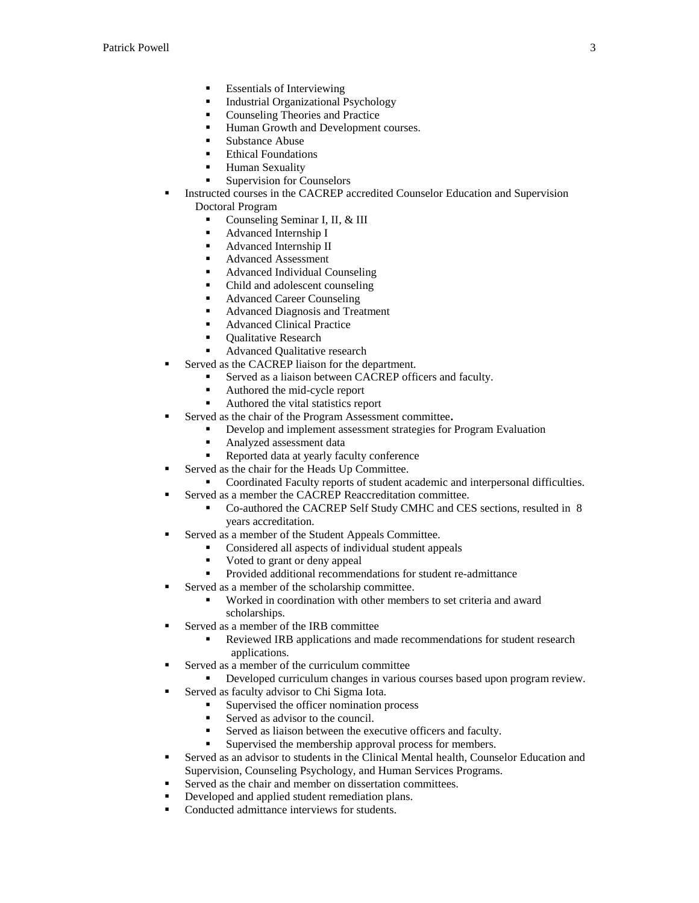- Essentials of Interviewing
- Industrial Organizational Psychology
- Counseling Theories and Practice
- Human Growth and Development courses.
- Substance Abuse
- Ethical Foundations
- **Human Sexuality**
- **Supervision for Counselors**
- Instructed courses in the CACREP accredited Counselor Education and Supervision Doctoral Program
	- Counseling Seminar I, II, & III
	- Advanced Internship I
	- Advanced Internship II
	- Advanced Assessment
	- Advanced Individual Counseling
	- Child and adolescent counseling
	- Advanced Career Counseling
	- Advanced Diagnosis and Treatment
	- Advanced Clinical Practice
	- Qualitative Research
	- Advanced Qualitative research
- Served as the CACREP liaison for the department.
	- Served as a liaison between CACREP officers and faculty.
	- Authored the mid-cycle report
	- Authored the vital statistics report
	- Served as the chair of the Program Assessment committee**.**
		- Develop and implement assessment strategies for Program Evaluation
		- **Analyzed assessment data**
		- Reported data at yearly faculty conference
	- Served as the chair for the Heads Up Committee.
		- Coordinated Faculty reports of student academic and interpersonal difficulties.
- Served as a member the CACREP Reaccreditation committee.
	- Co-authored the CACREP Self Study CMHC and CES sections, resulted in 8 years accreditation.
- Served as a member of the Student Appeals Committee.
	- Considered all aspects of individual student appeals
	- Voted to grant or deny appeal
	- **Provided additional recommendations for student re-admittance**
- Served as a member of the scholarship committee.
	- Worked in coordination with other members to set criteria and award scholarships.
- Served as a member of the IRB committee
	- Reviewed IRB applications and made recommendations for student research applications.
- Served as a member of the curriculum committee
	- Developed curriculum changes in various courses based upon program review.
	- Served as faculty advisor to Chi Sigma Iota.
		- Supervised the officer nomination process
		- Served as advisor to the council.
		- Served as liaison between the executive officers and faculty.
			- Supervised the membership approval process for members.
- Served as an advisor to students in the Clinical Mental health, Counselor Education and Supervision, Counseling Psychology, and Human Services Programs.
- Served as the chair and member on dissertation committees.
- Developed and applied student remediation plans.
- Conducted admittance interviews for students.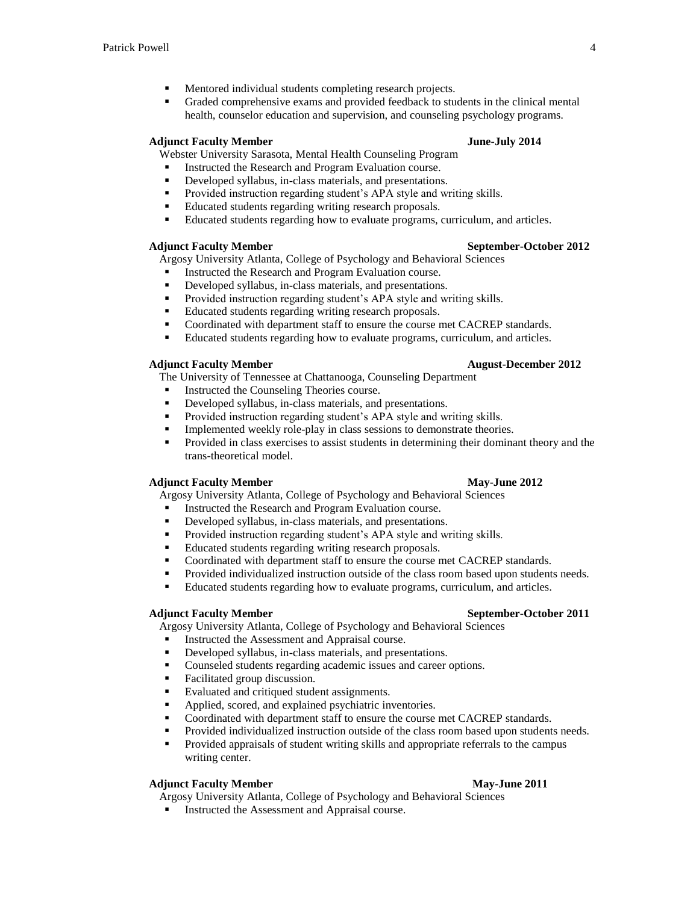- Mentored individual students completing research projects.
- Graded comprehensive exams and provided feedback to students in the clinical mental health, counselor education and supervision, and counseling psychology programs.

# **Adjunct Faculty Member June-July 2014**

Webster University Sarasota, Mental Health Counseling Program

- Instructed the Research and Program Evaluation course.
- Developed syllabus, in-class materials, and presentations.
- **Provided instruction regarding student's APA style and writing skills.**
- **Educated students regarding writing research proposals.**
- Educated students regarding how to evaluate programs, curriculum, and articles.

### **Adjunct Faculty Member September-October 2012**

Argosy University Atlanta, College of Psychology and Behavioral Sciences

- **Instructed the Research and Program Evaluation course.**
- Developed syllabus, in-class materials, and presentations.
- **Provided instruction regarding student's APA style and writing skills.**
- Educated students regarding writing research proposals.
- Coordinated with department staff to ensure the course met CACREP standards.
- Educated students regarding how to evaluate programs, curriculum, and articles.

### **Adjunct Faculty Member August-December 2012**

The University of Tennessee at Chattanooga, Counseling Department

- Instructed the Counseling Theories course.
- Developed syllabus, in-class materials, and presentations.
- **Provided instruction regarding student's APA style and writing skills.**
- Implemented weekly role-play in class sessions to demonstrate theories.
- **Provided in class exercises to assist students in determining their dominant theory and the** trans-theoretical model.

### **Adjunct Faculty Member May-June 2012**

Argosy University Atlanta, College of Psychology and Behavioral Sciences

- Instructed the Research and Program Evaluation course.
- Developed syllabus, in-class materials, and presentations.
- **•** Provided instruction regarding student's APA style and writing skills.
- Educated students regarding writing research proposals.
- Coordinated with department staff to ensure the course met CACREP standards.
- Provided individualized instruction outside of the class room based upon students needs.
- Educated students regarding how to evaluate programs, curriculum, and articles.

# **Adjunct Faculty Member September-October 2011**

Argosy University Atlanta, College of Psychology and Behavioral Sciences

- Instructed the Assessment and Appraisal course.<br>
Developed syllabus in-class materials, and prese
- Developed syllabus, in-class materials, and presentations.
- Counseled students regarding academic issues and career options.
- Facilitated group discussion.
- Evaluated and critiqued student assignments.
- Applied, scored, and explained psychiatric inventories.
- Coordinated with department staff to ensure the course met CACREP standards.
- Provided individualized instruction outside of the class room based upon students needs.
- Provided appraisals of student writing skills and appropriate referrals to the campus writing center.

### **Adjunct Faculty Member May-June 2011**

Argosy University Atlanta, College of Psychology and Behavioral Sciences

**Instructed the Assessment and Appraisal course.**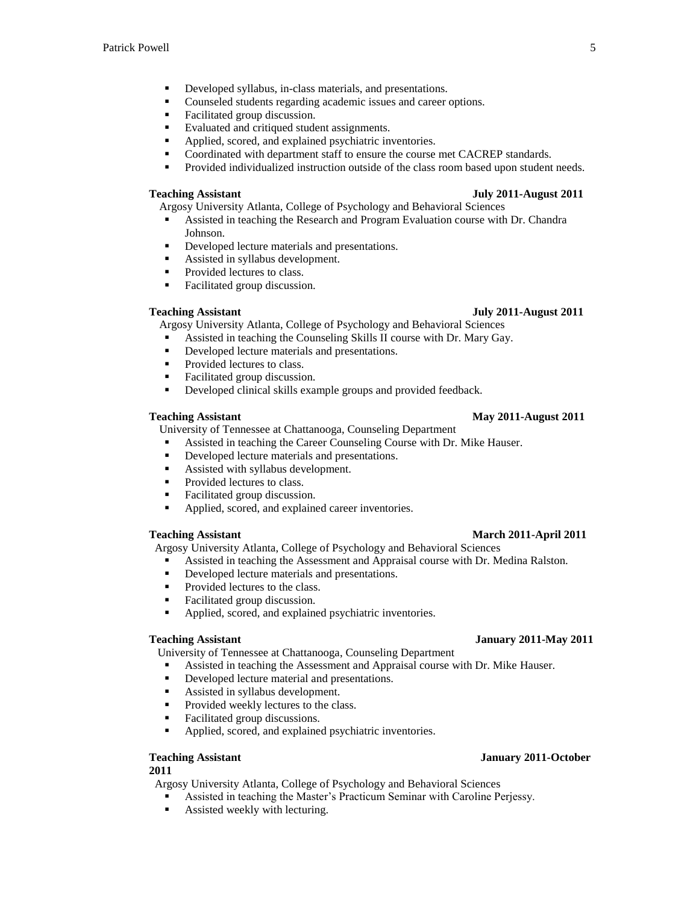- Developed syllabus, in-class materials, and presentations.
- Counseled students regarding academic issues and career options.
- Facilitated group discussion.
- Evaluated and critiqued student assignments.
- Applied, scored, and explained psychiatric inventories.
- Coordinated with department staff to ensure the course met CACREP standards.
- **Provided individualized instruction outside of the class room based upon student needs.**

Argosy University Atlanta, College of Psychology and Behavioral Sciences

- Assisted in teaching the Research and Program Evaluation course with Dr. Chandra Johnson.
- Developed lecture materials and presentations.
- Assisted in syllabus development.
- Provided lectures to class.
- Facilitated group discussion.

Argosy University Atlanta, College of Psychology and Behavioral Sciences

- Assisted in teaching the Counseling Skills II course with Dr. Mary Gay.<br>
Doveloped locture materials and presentations
- Developed lecture materials and presentations.
- Provided lectures to class.
- Facilitated group discussion.
- Developed clinical skills example groups and provided feedback.

### University of Tennessee at Chattanooga, Counseling Department Assisted in teaching the Career Counseling Course with Dr. Mike Hauser.

- Developed lecture materials and presentations.
- Assisted with syllabus development.
- Provided lectures to class.
- Facilitated group discussion.
- Applied, scored, and explained career inventories.

### **Teaching Assistant March 2011-April 2011**

Argosy University Atlanta, College of Psychology and Behavioral Sciences

- Assisted in teaching the Assessment and Appraisal course with Dr. Medina Ralston.
- Developed lecture materials and presentations.
- Provided lectures to the class.
- Facilitated group discussion.
- Applied, scored, and explained psychiatric inventories.

University of Tennessee at Chattanooga, Counseling Department

- Assisted in teaching the Assessment and Appraisal course with Dr. Mike Hauser.
- Developed lecture material and presentations.
- Assisted in syllabus development.
- Provided weekly lectures to the class.
- Facilitated group discussions.
- Applied, scored, and explained psychiatric inventories.

### **Teaching Assistant January 2011-October**

# **2011**

Argosy University Atlanta, College of Psychology and Behavioral Sciences

- Assisted in teaching the Master's Practicum Seminar with Caroline Perjessy.
- Assisted weekly with lecturing.

# **Teaching Assistant July 2011-August 2011**

### **Teaching Assistant July 2011-August 2011**

- 
- 
- 

### **Teaching Assistant May 2011-August 2011**

# **Teaching Assistant January 2011-May 2011**

- 
-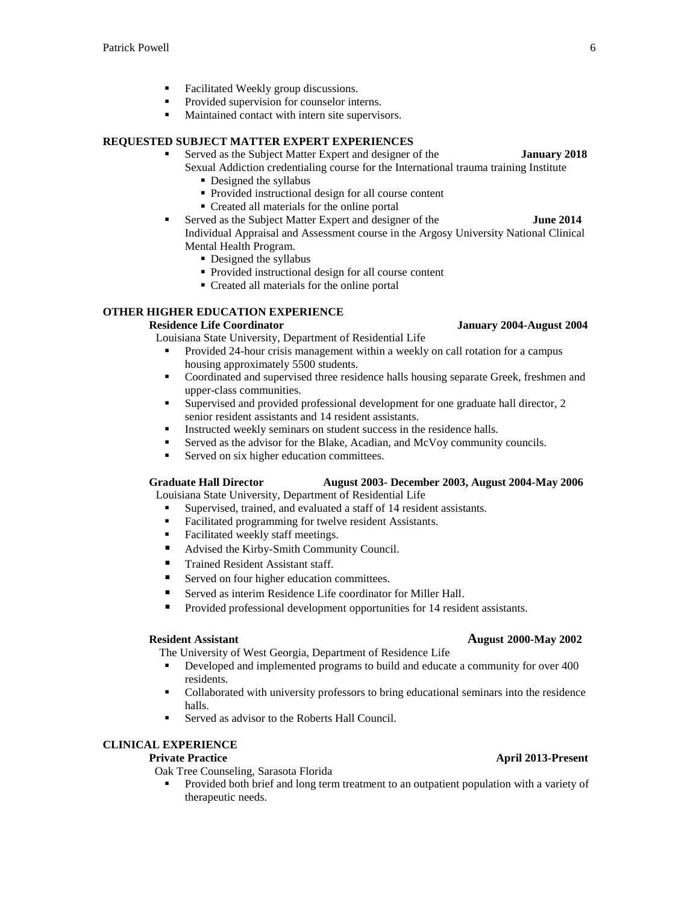- Facilitated Weekly group discussions.
- Provided supervision for counselor interns.
- Maintained contact with intern site supervisors.

# **REQUESTED SUBJECT MATTER EXPERT EXPERIENCES**

- Served as the Subject Matter Expert and designer of the **January 2018** Sexual Addiction credentialing course for the International trauma training Institute
	- Designed the syllabus
	- Provided instructional design for all course content
	- Created all materials for the online portal
- **Served as the Subject Matter Expert and designer of the <b>June 2014** Individual Appraisal and Assessment course in the Argosy University National Clinical Mental Health Program.
	- Designed the syllabus
	- Provided instructional design for all course content
	- Created all materials for the online portal

# **OTHER HIGHER EDUCATION EXPERIENCE**

### **Residence Life Coordinator January 2004-August 2004**

Louisiana State University, Department of Residential Life

- **Provided 24-hour crisis management within a weekly on call rotation for a campus** housing approximately 5500 students.
- Coordinated and supervised three residence halls housing separate Greek, freshmen and upper-class communities.
- $\blacksquare$  Supervised and provided professional development for one graduate hall director, 2 senior resident assistants and 14 resident assistants.
- Instructed weekly seminars on student success in the residence halls.
- Served as the advisor for the Blake, Acadian, and McVoy community councils.
- Served on six higher education committees.

### **Graduate Hall Director August 2003- December 2003, August 2004-May 2006**

Louisiana State University, Department of Residential Life

- Supervised, trained, and evaluated a staff of 14 resident assistants.
- Facilitated programming for twelve resident Assistants.
- **Facilitated weekly staff meetings.**
- Advised the Kirby-Smith Community Council.
- Trained Resident Assistant staff.
- Served on four higher education committees.
- Served as interim Residence Life coordinator for Miller Hall.
- Provided professional development opportunities for 14 resident assistants.

- The University of West Georgia, Department of Residence Life Developed and implemented programs to build and educate a community for over 400 residents.
- Collaborated with university professors to bring educational seminars into the residence halls.
- Served as advisor to the Roberts Hall Council.

# **CLINICAL EXPERIENCE**

Oak Tree Counseling, Sarasota Florida

**Provided both brief and long term treatment to an outpatient population with a variety of** therapeutic needs.

### **Private Practice April 2013-Present**

# **Resident Assistant August 2000-May 2002**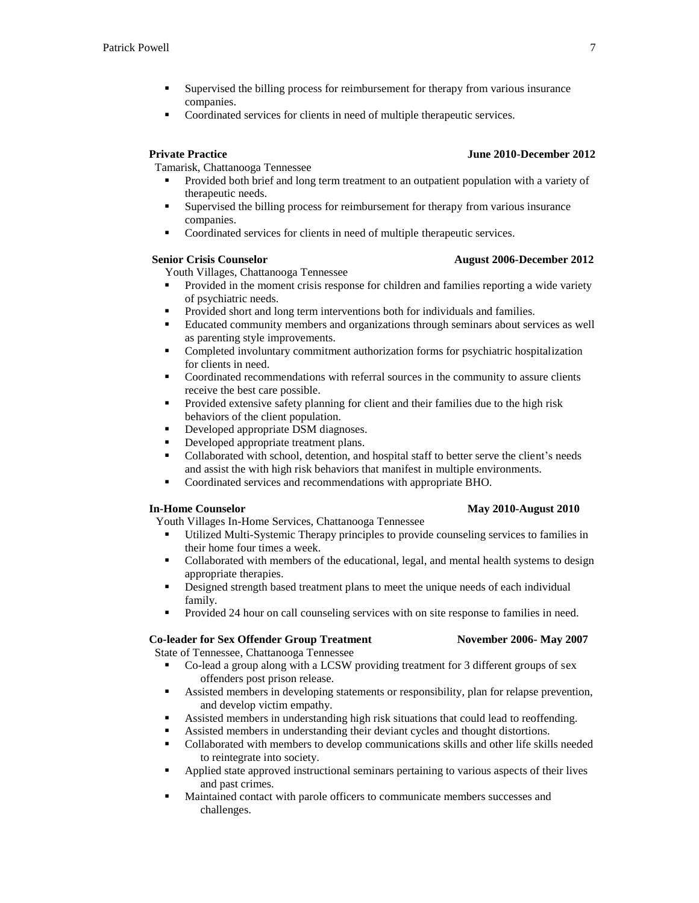- Supervised the billing process for reimbursement for therapy from various insurance companies.
- Coordinated services for clients in need of multiple therapeutic services.

Tamarisk, Chattanooga Tennessee

- Provided both brief and long term treatment to an outpatient population with a variety of therapeutic needs.
- Supervised the billing process for reimbursement for therapy from various insurance companies.
- Coordinated services for clients in need of multiple therapeutic services.

### **Senior Crisis Counselor August 2006-December 2012**

Youth Villages, Chattanooga Tennessee

- Provided in the moment crisis response for children and families reporting a wide variety of psychiatric needs.
- Provided short and long term interventions both for individuals and families.
- Educated community members and organizations through seminars about services as well as parenting style improvements.
- Completed involuntary commitment authorization forms for psychiatric hospitalization for clients in need.
- Coordinated recommendations with referral sources in the community to assure clients receive the best care possible.
- **Provided extensive safety planning for client and their families due to the high risk** behaviors of the client population.
- Developed appropriate DSM diagnoses.
- Developed appropriate treatment plans.
- Collaborated with school, detention, and hospital staff to better serve the client's needs and assist the with high risk behaviors that manifest in multiple environments.
- Coordinated services and recommendations with appropriate BHO.

Youth Villages In-Home Services, Chattanooga Tennessee

- Utilized Multi-Systemic Therapy principles to provide counseling services to families in their home four times a week.
- Collaborated with members of the educational, legal, and mental health systems to design appropriate therapies.
- **EXECUTE:** Designed strength based treatment plans to meet the unique needs of each individual family.
- **Provided 24 hour on call counseling services with on site response to families in need.**

# **Co-leader for Sex Offender Group Treatment November 2006- May 2007**

State of Tennessee, Chattanooga Tennessee

- Co-lead a group along with a LCSW providing treatment for 3 different groups of sex offenders post prison release.
- Assisted members in developing statements or responsibility, plan for relapse prevention, and develop victim empathy.
- Assisted members in understanding high risk situations that could lead to reoffending.
- Assisted members in understanding their deviant cycles and thought distortions.
- Collaborated with members to develop communications skills and other life skills needed to reintegrate into society.
- Applied state approved instructional seminars pertaining to various aspects of their lives and past crimes.
- Maintained contact with parole officers to communicate members successes and challenges.

# **In-Home Counselor May 2010-August 2010**

### **Private Practice June 2010-December 2012**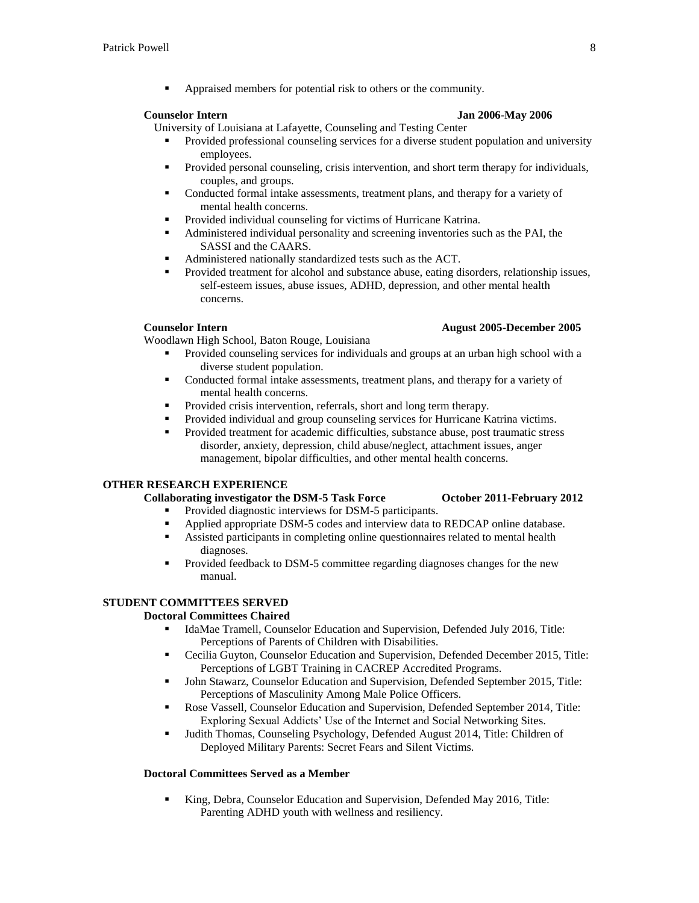Appraised members for potential risk to others or the community.

### **Counselor Intern Jan 2006-May 2006**

- University of Louisiana at Lafayette, Counseling and Testing Center Provided professional counseling services for a diverse student population and university employees.
	- Provided personal counseling, crisis intervention, and short term therapy for individuals, couples, and groups.
	- Conducted formal intake assessments, treatment plans, and therapy for a variety of mental health concerns.
	- Provided individual counseling for victims of Hurricane Katrina.
	- Administered individual personality and screening inventories such as the PAI, the SASSI and the CAARS.
	- Administered nationally standardized tests such as the ACT.
	- Provided treatment for alcohol and substance abuse, eating disorders, relationship issues, self-esteem issues, abuse issues, ADHD, depression, and other mental health concerns.

Woodlawn High School, Baton Rouge, Louisiana

- Provided counseling services for individuals and groups at an urban high school with a diverse student population.
- Conducted formal intake assessments, treatment plans, and therapy for a variety of mental health concerns.
- **Provided crisis intervention, referrals, short and long term therapy.**
- Provided individual and group counseling services for Hurricane Katrina victims.
- Provided treatment for academic difficulties, substance abuse, post traumatic stress disorder, anxiety, depression, child abuse/neglect, attachment issues, anger management, bipolar difficulties, and other mental health concerns.

# **OTHER RESEARCH EXPERIENCE**

# **Collaborating investigator the DSM-5 Task Force October 2011-February 2012**

- Provided diagnostic interviews for DSM-5 participants.
- Applied appropriate DSM-5 codes and interview data to REDCAP online database.
- Assisted participants in completing online questionnaires related to mental health diagnoses.
- Provided feedback to DSM-5 committee regarding diagnoses changes for the new manual.

# **STUDENT COMMITTEES SERVED**

### **Doctoral Committees Chaired**

- IdaMae Tramell, Counselor Education and Supervision, Defended July 2016, Title: Perceptions of Parents of Children with Disabilities.
- Cecilia Guyton, Counselor Education and Supervision, Defended December 2015, Title: Perceptions of LGBT Training in CACREP Accredited Programs.
- John Stawarz, Counselor Education and Supervision, Defended September 2015, Title: Perceptions of Masculinity Among Male Police Officers.
- Rose Vassell, Counselor Education and Supervision, Defended September 2014, Title: Exploring Sexual Addicts' Use of the Internet and Social Networking Sites.
- Judith Thomas, Counseling Psychology, Defended August 2014, Title: Children of Deployed Military Parents: Secret Fears and Silent Victims.

# **Doctoral Committees Served as a Member**

King, Debra, Counselor Education and Supervision, Defended May 2016, Title: Parenting ADHD youth with wellness and resiliency.

### **Counselor Intern August 2005-December 2005**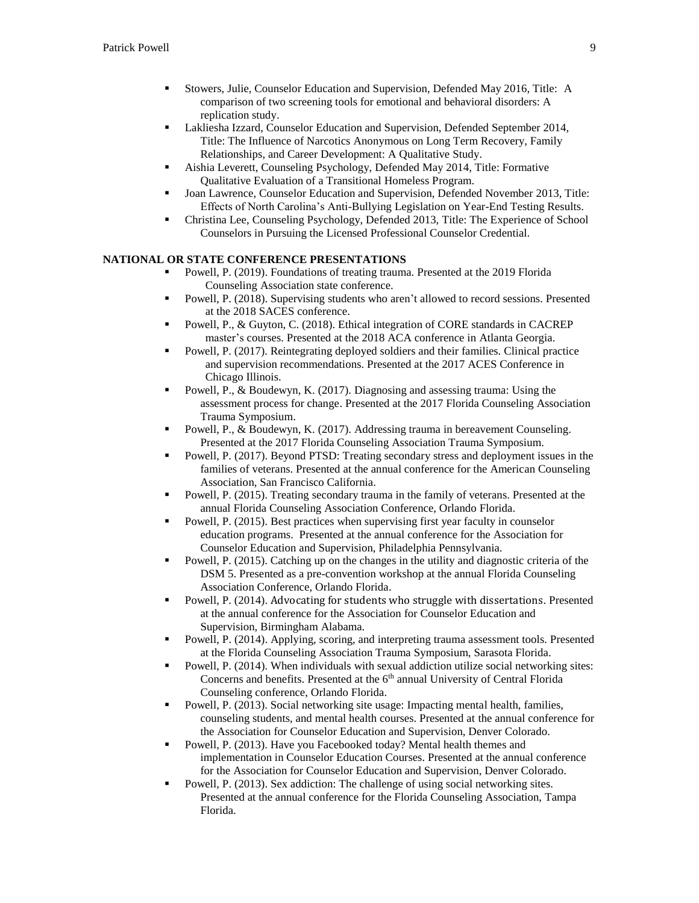- Stowers, Julie, Counselor Education and Supervision, Defended May 2016, Title: A comparison of two screening tools for emotional and behavioral disorders: A replication study.
- Lakliesha Izzard, Counselor Education and Supervision, Defended September 2014, Title: The Influence of Narcotics Anonymous on Long Term Recovery, Family Relationships, and Career Development: A Qualitative Study.
- Aishia Leverett, Counseling Psychology, Defended May 2014, Title: Formative Qualitative Evaluation of a Transitional Homeless Program.
- Joan Lawrence, Counselor Education and Supervision, Defended November 2013, Title: Effects of North Carolina's Anti-Bullying Legislation on Year-End Testing Results.
- Christina Lee, Counseling Psychology, Defended 2013, Title: The Experience of School Counselors in Pursuing the Licensed Professional Counselor Credential.

# **NATIONAL OR STATE CONFERENCE PRESENTATIONS**

- Powell, P. (2019). Foundations of treating trauma. Presented at the 2019 Florida Counseling Association state conference.
- Powell, P. (2018). Supervising students who aren't allowed to record sessions. Presented at the 2018 SACES conference.
- Powell, P., & Guyton, C. (2018). Ethical integration of CORE standards in CACREP master's courses. Presented at the 2018 ACA conference in Atlanta Georgia.
- Powell, P. (2017). Reintegrating deployed soldiers and their families. Clinical practice and supervision recommendations. Presented at the 2017 ACES Conference in Chicago Illinois.
- Powell, P., & Boudewyn, K. (2017). Diagnosing and assessing trauma: Using the assessment process for change. Presented at the 2017 Florida Counseling Association Trauma Symposium.
- Powell, P., & Boudewyn, K. (2017). Addressing trauma in bereavement Counseling. Presented at the 2017 Florida Counseling Association Trauma Symposium.
- Powell, P. (2017). Beyond PTSD: Treating secondary stress and deployment issues in the families of veterans. Presented at the annual conference for the American Counseling Association, San Francisco California.
- Powell, P. (2015). Treating secondary trauma in the family of veterans. Presented at the annual Florida Counseling Association Conference, Orlando Florida.
- Powell, P. (2015). Best practices when supervising first year faculty in counselor education programs. Presented at the annual conference for the Association for Counselor Education and Supervision, Philadelphia Pennsylvania.
- Powell, P. (2015). Catching up on the changes in the utility and diagnostic criteria of the DSM 5. Presented as a pre-convention workshop at the annual Florida Counseling Association Conference, Orlando Florida.
- Powell, P. (2014). Advocating for students who struggle with dissertations. Presented at the annual conference for the Association for Counselor Education and Supervision, Birmingham Alabama.
- Powell, P. (2014). Applying, scoring, and interpreting trauma assessment tools. Presented at the Florida Counseling Association Trauma Symposium, Sarasota Florida.
- Powell, P. (2014). When individuals with sexual addiction utilize social networking sites: Concerns and benefits. Presented at the 6<sup>th</sup> annual University of Central Florida Counseling conference, Orlando Florida.
- Powell, P. (2013). Social networking site usage: Impacting mental health, families, counseling students, and mental health courses. Presented at the annual conference for the Association for Counselor Education and Supervision, Denver Colorado.
- Powell, P. (2013). Have you Facebooked today? Mental health themes and implementation in Counselor Education Courses. Presented at the annual conference for the Association for Counselor Education and Supervision, Denver Colorado.
- Powell, P. (2013). Sex addiction: The challenge of using social networking sites. Presented at the annual conference for the Florida Counseling Association, Tampa Florida.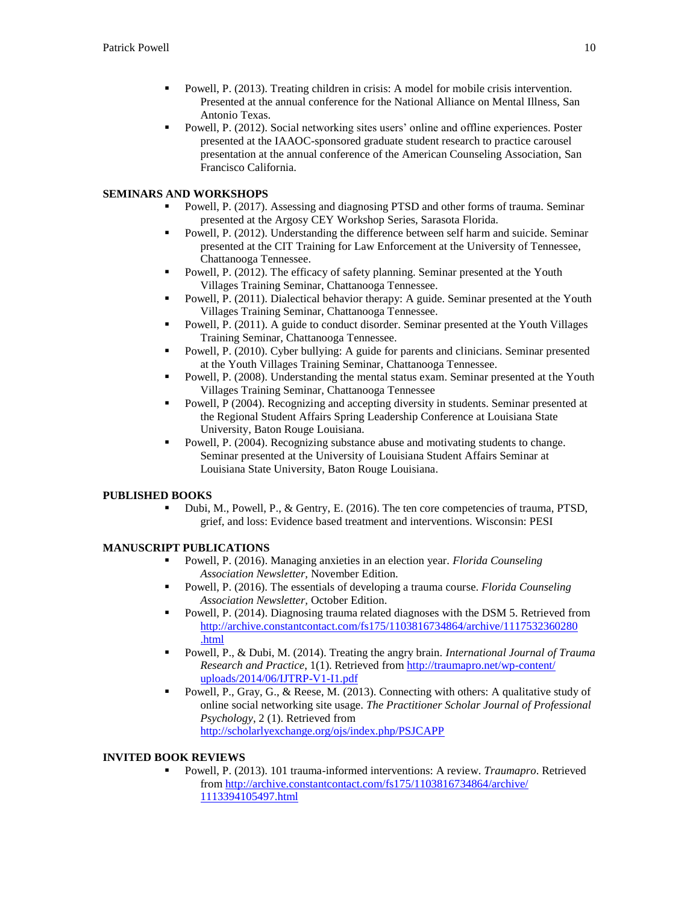- Powell, P. (2013). Treating children in crisis: A model for mobile crisis intervention. Presented at the annual conference for the National Alliance on Mental Illness, San Antonio Texas.
- Powell, P. (2012). Social networking sites users' online and offline experiences. Poster presented at the IAAOC-sponsored graduate student research to practice carousel presentation at the annual conference of the American Counseling Association, San Francisco California.

# **SEMINARS AND WORKSHOPS**

- Powell, P. (2017). Assessing and diagnosing PTSD and other forms of trauma. Seminar presented at the Argosy CEY Workshop Series, Sarasota Florida.
- Powell, P. (2012). Understanding the difference between self harm and suicide. Seminar presented at the CIT Training for Law Enforcement at the University of Tennessee, Chattanooga Tennessee.
- Powell, P. (2012). The efficacy of safety planning. Seminar presented at the Youth Villages Training Seminar, Chattanooga Tennessee.
- Powell, P. (2011). Dialectical behavior therapy: A guide. Seminar presented at the Youth Villages Training Seminar, Chattanooga Tennessee.
- Powell, P. (2011). A guide to conduct disorder. Seminar presented at the Youth Villages Training Seminar, Chattanooga Tennessee.
- Powell, P. (2010). Cyber bullying: A guide for parents and clinicians. Seminar presented at the Youth Villages Training Seminar, Chattanooga Tennessee.
- Powell, P. (2008). Understanding the mental status exam. Seminar presented at the Youth Villages Training Seminar, Chattanooga Tennessee
- Powell, P (2004). Recognizing and accepting diversity in students. Seminar presented at the Regional Student Affairs Spring Leadership Conference at Louisiana State University, Baton Rouge Louisiana.
- Powell, P. (2004). Recognizing substance abuse and motivating students to change. Seminar presented at the University of Louisiana Student Affairs Seminar at Louisiana State University, Baton Rouge Louisiana.

# **PUBLISHED BOOKS**

 Dubi, M., Powell, P., & Gentry, E. (2016). The ten core competencies of trauma, PTSD, grief, and loss: Evidence based treatment and interventions. Wisconsin: PESI

# **MANUSCRIPT PUBLICATIONS**

- Powell, P. (2016). Managing anxieties in an election year. *Florida Counseling Association Newsletter,* November Edition.
- Powell, P. (2016). The essentials of developing a trauma course. *Florida Counseling Association Newsletter,* October Edition.
- Powell, P. (2014). Diagnosing trauma related diagnoses with the DSM 5. Retrieved from [http://archive.constantcontact.com/fs175/1103816734864/archive/1117532360280](http://archive.constantcontact.com/fs175/1103816734864/archive/1117532360280%0B.html) [.html](http://archive.constantcontact.com/fs175/1103816734864/archive/1117532360280%0B.html)
- Powell, P., & Dubi, M. (2014). Treating the angry brain. *International Journal of Trauma Research and Practice*, 1(1). Retrieved fro[m http://traumapro.net/wp-content/](http://traumapro.net/wp-content/%0Buploads/2014/06/IJTRP-V1-I1.pdf) [uploads/2014/06/IJTRP-V1-I1.pdf](http://traumapro.net/wp-content/%0Buploads/2014/06/IJTRP-V1-I1.pdf)
- Powell, P., Gray, G., & Reese, M. (2013). Connecting with others: A qualitative study of online social networking site usage. *The Practitioner Scholar Journal of Professional Psychology*, 2 (1). Retrieved from <http://scholarlyexchange.org/ojs/index.php/PSJCAPP>

# **INVITED BOOK REVIEWS**

 Powell, P. (2013). 101 trauma-informed interventions: A review. *Traumapro*. Retrieved fro[m http://archive.constantcontact.com/fs175/1103816734864/archive/](http://archive.constantcontact.com/fs175/1103816734864/archive/%0B1113394105497.html) [1113394105497.html](http://archive.constantcontact.com/fs175/1103816734864/archive/%0B1113394105497.html)